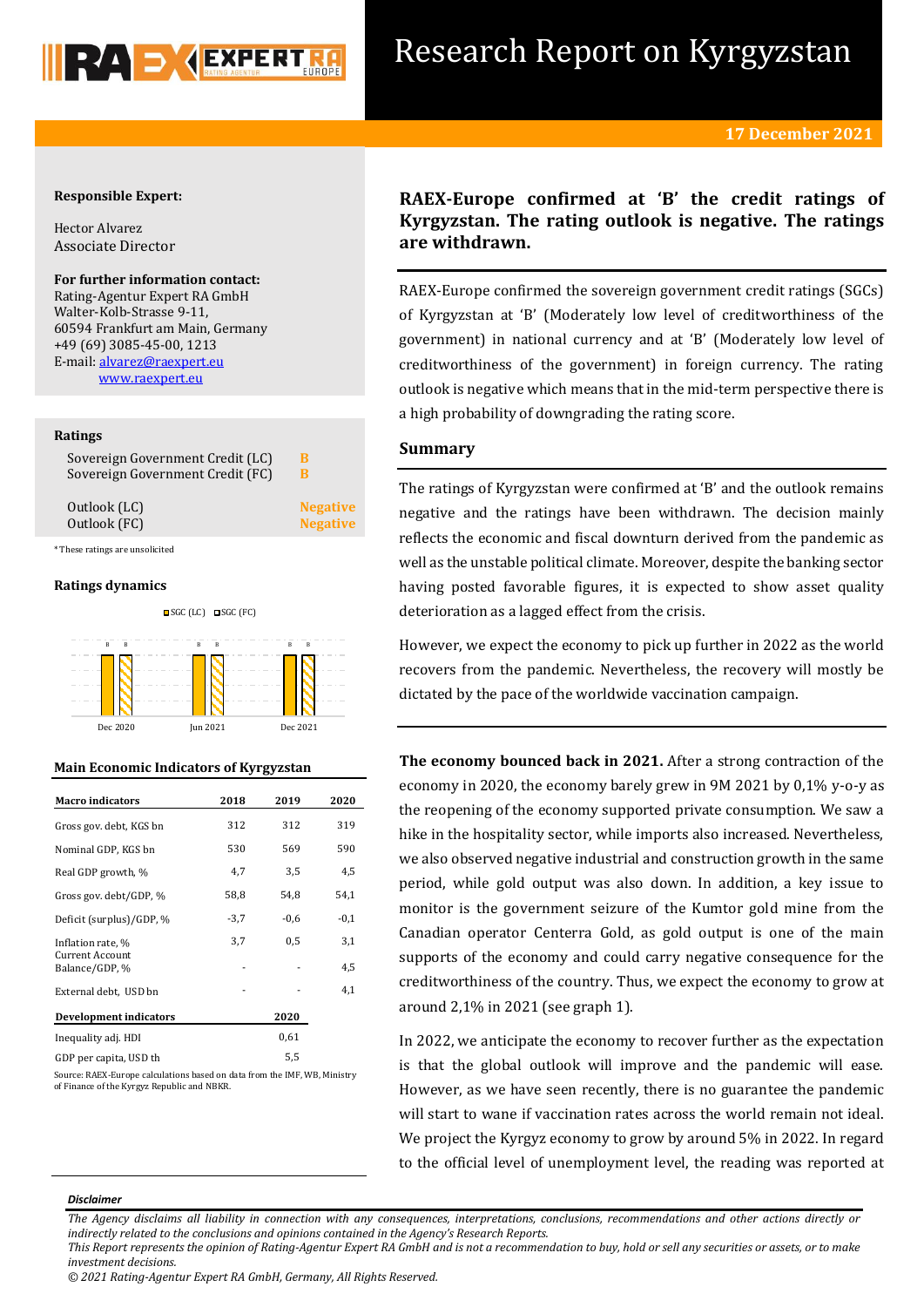

# Research Report on Kyrgyzstan

## **17 December 2021**

## **Responsible Expert:**

Hector Alvarez Associate Director

# **For further information contact:**

Rating-Agentur Expert RA GmbH Walter-Kolb-Strasse 9-11, 60594 Frankfurt am Main, Germany +49 (69) 3085-45-00, 1213 E-mail[: alvarez@raexpert.eu](mailto:alvarez@raexpert.eu) [www.raexpert.eu](http://raexpert.eu/)

## **Ratings**

| Sovereign Government Credit (LC) | в          |
|----------------------------------|------------|
| Sovereign Government Credit (FC) | в          |
| Outlook (LC)<br>Outlook (FC)     | <b>Nes</b> |

\* These ratings are unsolicited

## **Ratings dynamics**



## **Main Economic Indicators of Kyrgyzstan**

| <b>Macro</b> indicators                  | 2018   | 2019   | 2020   |
|------------------------------------------|--------|--------|--------|
| Gross gov. debt, KGS bn                  | 312    | 312    | 319    |
| Nominal GDP, KGS bn                      | 530    | 569    | 590    |
| Real GDP growth, %                       | 4,7    | 3,5    | 4,5    |
| Gross gov. debt/GDP, %                   | 58,8   | 54,8   | 54,1   |
| Deficit (surplus)/GDP, %                 | $-3,7$ | $-0,6$ | $-0,1$ |
| Inflation rate, %                        | 3,7    | 0,5    | 3,1    |
| <b>Current Account</b><br>Balance/GDP, % |        |        | 4,5    |
| External debt, USD bn                    |        |        | 4,1    |
| <b>Development indicators</b>            |        | 2020   |        |
| Inequality adj. HDI                      |        | 0,61   |        |
| GDP per capita, USD th                   |        | 5,5    |        |

Source: RAEX-Europe calculations based on data from the IMF, WB, Ministry of Finance of the Kyrgyz Republic and NBKR.

# **RAEX-Europe confirmed at 'B' the credit ratings of Kyrgyzstan. The rating outlook is negative. The ratings are withdrawn.**

RAEX-Europe confirmed the sovereign government credit ratings (SGCs) of Kyrgyzstan at 'B' (Moderately low level of creditworthiness of the government) in national currency and at 'B' (Moderately low level of creditworthiness of the government) in foreign currency. The rating outlook is negative which means that in the mid-term perspective there is a high probability of downgrading the rating score.

## **Summary**

**zative zative**  The ratings of Kyrgyzstan were confirmed at 'B' and the outlook remains negative and the ratings have been withdrawn. The decision mainly reflects the economic and fiscal downturn derived from the pandemic as well as the unstable political climate. Moreover, despite the banking sector having posted favorable figures, it is expected to show asset quality deterioration as a lagged effect from the crisis.

However, we expect the economy to pick up further in 2022 as the world recovers from the pandemic. Nevertheless, the recovery will mostly be dictated by the pace of the worldwide vaccination campaign.

**The economy bounced back in 2021.** After a strong contraction of the economy in 2020, the economy barely grew in 9M 2021 by 0,1% y-o-y as the reopening of the economy supported private consumption. We saw a hike in the hospitality sector, while imports also increased. Nevertheless, we also observed negative industrial and construction growth in the same period, while gold output was also down. In addition, a key issue to monitor is the government seizure of the Kumtor gold mine from the Canadian operator Centerra Gold, as gold output is one of the main supports of the economy and could carry negative consequence for the creditworthiness of the country. Thus, we expect the economy to grow at around 2,1% in 2021 (see graph 1).

In 2022, we anticipate the economy to recover further as the expectation is that the global outlook will improve and the pandemic will ease. However, as we have seen recently, there is no guarantee the pandemic will start to wane if vaccination rates across the world remain not ideal. We project the Kyrgyz economy to grow by around 5% in 2022. In regard to the official level of unemployment level, the reading was reported at

### *Disclaimer*

*The Agency disclaims all liability in connection with any consequences, interpretations, conclusions, recommendations and other actions directly or indirectly related to the conclusions and opinions contained in the Agency's Research Reports.*

*This Report represents the opinion of Rating-Agentur Expert RA GmbH and is not a recommendation to buy, hold or sell any securities or assets, or to make investment decisions.*

*<sup>© 2021</sup> Rating-Agentur Expert RA GmbH, Germany, All Rights Reserved.*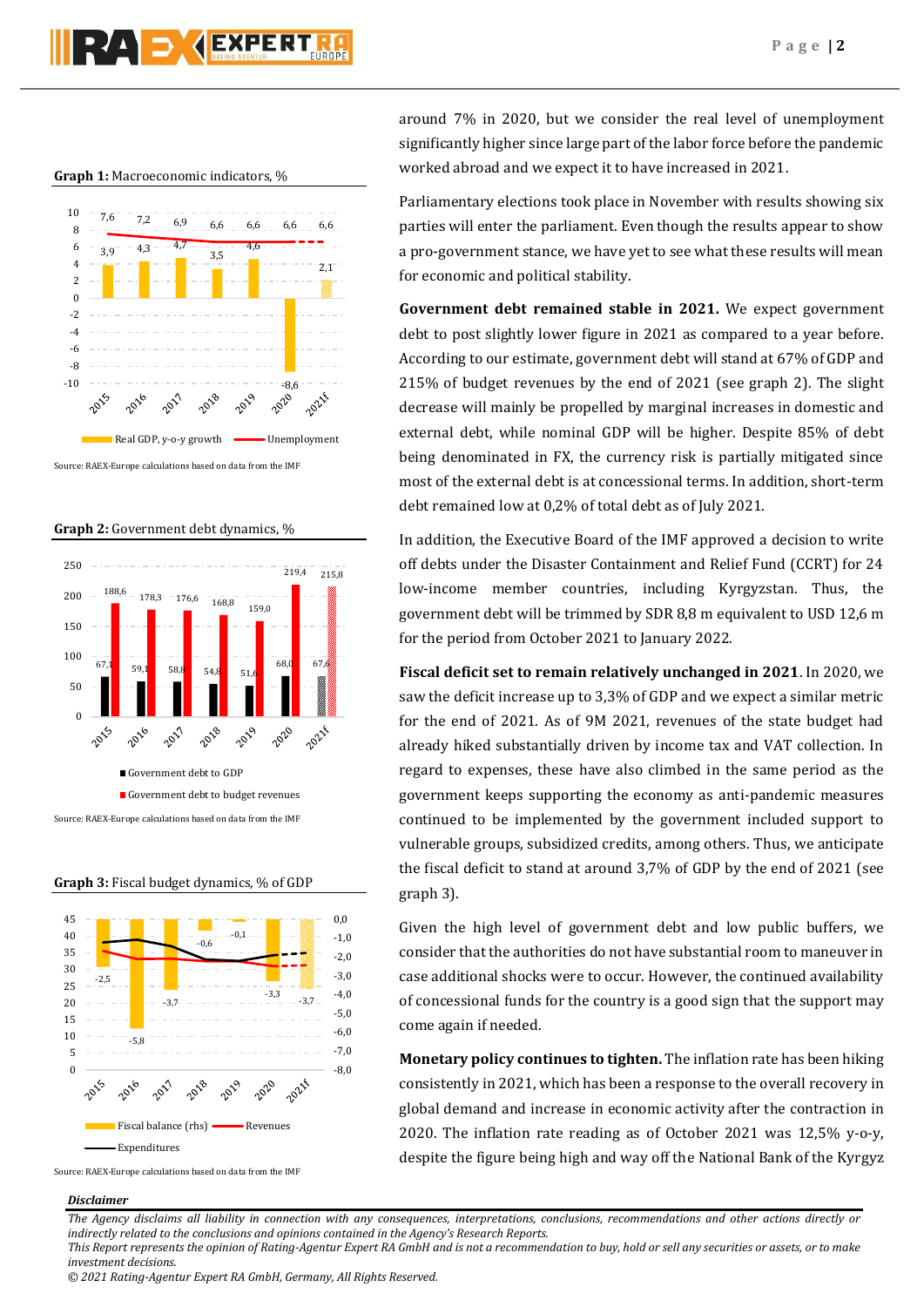

## **Graph 1:** Macroeconomic indicators, %



Source: RAEX-Europe calculations based on data from the IMF







Source: RAEX-Europe calculations based on data from the IMF

# around 7% in 2020, but we consider the real level of unemployment significantly higher since large part of the labor force before the pandemic worked abroad and we expect it to have increased in 2021.

Parliamentary elections took place in November with results showing six parties will enter the parliament. Even though the results appear to show a pro-government stance, we have yet to see what these results will mean for economic and political stability.

**Government debt remained stable in 2021.** We expect government debt to post slightly lower figure in 2021 as compared to a year before. According to our estimate, government debt will stand at 67% of GDP and 215% of budget revenues by the end of 2021 (see graph 2). The slight decrease will mainly be propelled by marginal increases in domestic and external debt, while nominal GDP will be higher. Despite 85% of debt being denominated in FX, the currency risk is partially mitigated since most of the external debt is at concessional terms. In addition, short-term debt remained low at 0,2% of total debt as of July 2021.

In addition, the Executive Board of the IMF approved a decision to write off debts under the Disaster Containment and Relief Fund (CCRT) for 24 low-income member countries, including Kyrgyzstan. Thus, the government debt will be trimmed by SDR 8,8 m equivalent to USD 12,6 m for the period from October 2021 to January 2022.

**Fiscal deficit set to remain relatively unchanged in 2021**. In 2020, we saw the deficit increase up to 3,3% of GDP and we expect a similar metric for the end of 2021. As of 9M 2021, revenues of the state budget had already hiked substantially driven by income tax and VAT collection. In regard to expenses, these have also climbed in the same period as the government keeps supporting the economy as anti-pandemic measures continued to be implemented by the government included support to vulnerable groups, subsidized credits, among others. Thus, we anticipate the fiscal deficit to stand at around 3,7% of GDP by the end of 2021 (see graph 3).

Given the high level of government debt and low public buffers, we consider that the authorities do not have substantial room to maneuver in case additional shocks were to occur. However, the continued availability of concessional funds for the country is a good sign that the support may come again if needed.

**Monetary policy continues to tighten.** The inflation rate has been hiking consistently in 2021, which has been a response to the overall recovery in global demand and increase in economic activity after the contraction in 2020. The inflation rate reading as of October 2021 was 12,5% y-o-y, despite the figure being high and way off the National Bank of the Kyrgyz

#### *Disclaimer*

*The Agency disclaims all liability in connection with any consequences, interpretations, conclusions, recommendations and other actions directly or indirectly related to the conclusions and opinions contained in the Agency's Research Reports.*

*This Report represents the opinion of Rating-Agentur Expert RA GmbH and is not a recommendation to buy, hold or sell any securities or assets, or to make investment decisions.*

*© 2021 Rating-Agentur Expert RA GmbH, Germany, All Rights Reserved.*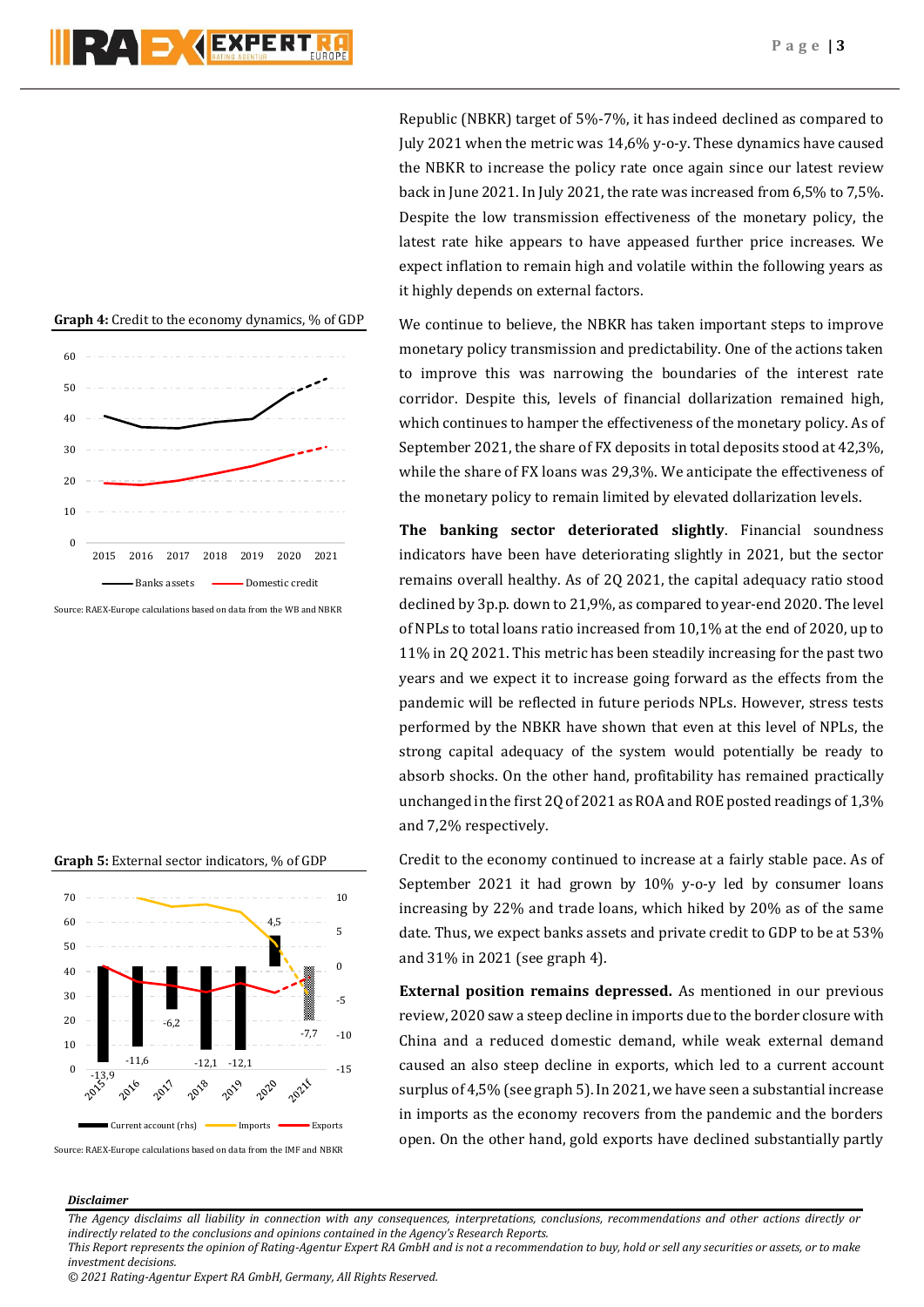



Source: RAEX-Europe calculations based on data from the WB and NBKR







Republic (NBKR) target of 5%-7%, it has indeed declined as compared to July 2021 when the metric was 14,6% y-o-y. These dynamics have caused the NBKR to increase the policy rate once again since our latest review back in June 2021. In July 2021, the rate was increased from 6,5% to 7,5%. Despite the low transmission effectiveness of the monetary policy, the latest rate hike appears to have appeased further price increases. We expect inflation to remain high and volatile within the following years as it highly depends on external factors.

We continue to believe, the NBKR has taken important steps to improve monetary policy transmission and predictability. One of the actions taken to improve this was narrowing the boundaries of the interest rate corridor. Despite this, levels of financial dollarization remained high, which continues to hamper the effectiveness of the monetary policy. As of September 2021, the share of FX deposits in total deposits stood at 42,3%, while the share of FX loans was 29,3%. We anticipate the effectiveness of the monetary policy to remain limited by elevated dollarization levels.

**The banking sector deteriorated slightly**. Financial soundness indicators have been have deteriorating slightly in 2021, but the sector remains overall healthy. As of 2Q 2021, the capital adequacy ratio stood declined by 3p.p. down to 21,9%, as compared to year-end 2020. The level of NPLs to total loans ratio increased from 10,1% at the end of 2020, up to 11% in 2Q 2021. This metric has been steadily increasing for the past two years and we expect it to increase going forward as the effects from the pandemic will be reflected in future periods NPLs. However, stress tests performed by the NBKR have shown that even at this level of NPLs, the strong capital adequacy of the system would potentially be ready to absorb shocks. On the other hand, profitability has remained practically unchanged in the first 2Q of 2021 as ROA and ROE posted readings of 1,3% and 7,2% respectively.

Credit to the economy continued to increase at a fairly stable pace. As of September 2021 it had grown by 10% y-o-y led by consumer loans increasing by 22% and trade loans, which hiked by 20% as of the same date. Thus, we expect banks assets and private credit to GDP to be at 53% and 31% in 2021 (see graph 4).

**External position remains depressed.** As mentioned in our previous review, 2020 saw a steep decline in imports due to the border closure with Сhina and a reduced domestic demand, while weak external demand caused an also steep decline in exports, which led to a current account surplus of 4,5% (see graph 5). In 2021, we have seen a substantial increase in imports as the economy recovers from the pandemic and the borders open. On the other hand, gold exports have declined substantially partly

### *Disclaimer*

*The Agency disclaims all liability in connection with any consequences, interpretations, conclusions, recommendations and other actions directly or indirectly related to the conclusions and opinions contained in the Agency's Research Reports.*

*This Report represents the opinion of Rating-Agentur Expert RA GmbH and is not a recommendation to buy, hold or sell any securities or assets, or to make investment decisions.*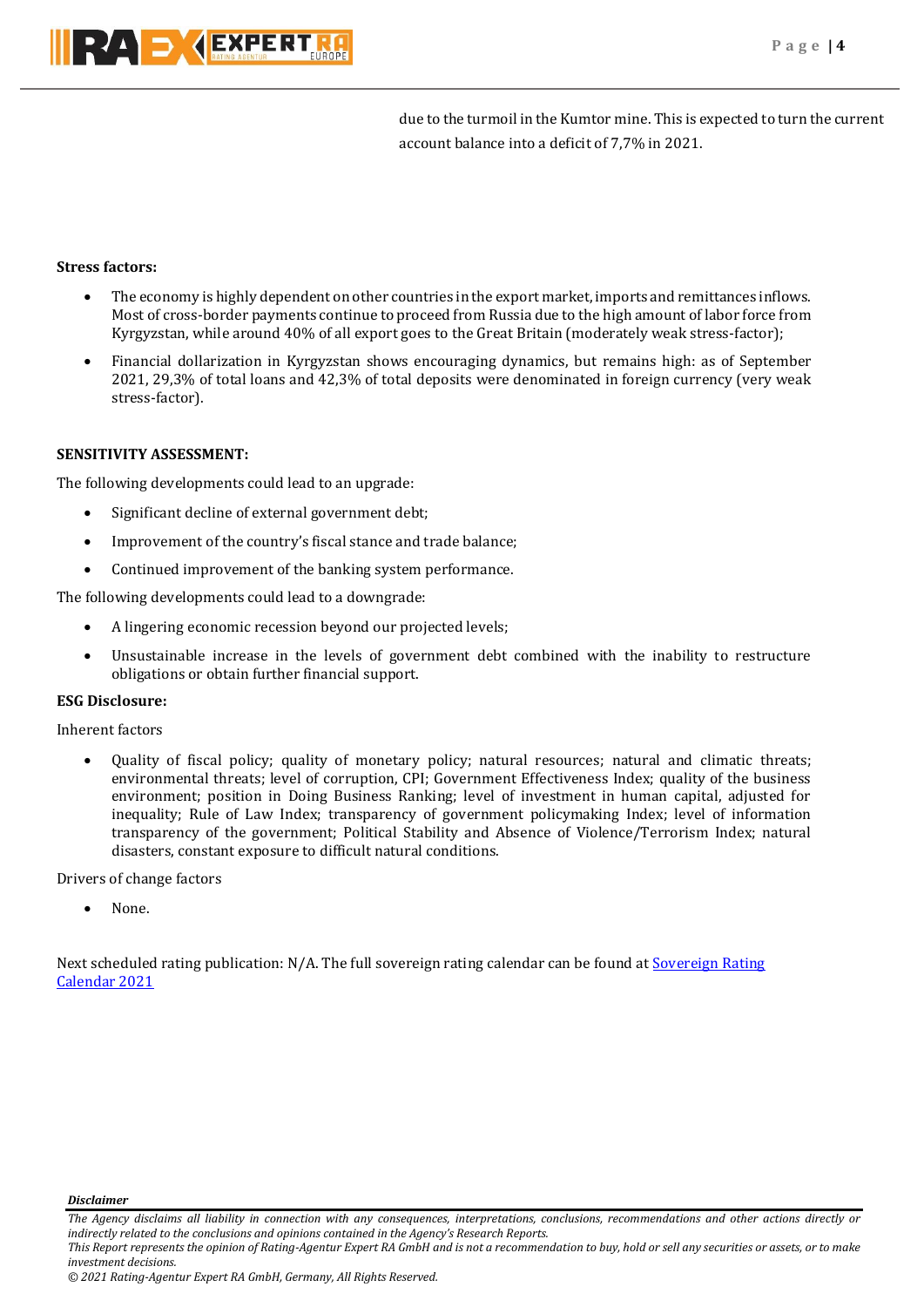

due to the turmoil in the Kumtor mine. This is expected to turn the current account balance into a deficit of 7,7% in 2021.

## **Stress factors:**

- The economy is highly dependent on other countries in the export market, imports and remittances inflows. Most of cross-border payments continue to proceed from Russia due to the high amount of labor force from Kyrgyzstan, while around 40% of all export goes to the Great Britain (moderately weak stress-factor);
- Financial dollarization in Kyrgyzstan shows encouraging dynamics, but remains high: as of September 2021, 29,3% of total loans and 42,3% of total deposits were denominated in foreign currency (very weak stress-factor).

## **SENSITIVITY ASSESSMENT:**

The following developments could lead to an upgrade:

- Significant decline of external government debt;
- Improvement of the country's fiscal stance and trade balance;
- Continued improvement of the banking system performance.

The following developments could lead to a downgrade:

- A lingering economic recession beyond our projected levels;
- Unsustainable increase in the levels of government debt combined with the inability to restructure obligations or obtain further financial support.

## **ESG Disclosure:**

Inherent factors

 Quality of fiscal policy; quality of monetary policy; natural resources; natural and climatic threats; environmental threats; level of corruption, CPI; Government Effectiveness Index; quality of the business environment; position in Doing Business Ranking; level of investment in human capital, adjusted for inequality; Rule of Law Index; transparency of government policymaking Index; level of information transparency of the government; Political Stability and Absence of Violence/Terrorism Index; natural disasters, constant exposure to difficult natural conditions.

Drivers of change factors

None.

Next scheduled rating publication: N/A. The full sovereign rating calendar can be found a[t Sovereign Rating](https://raexpert.eu/sovereign/#conf-tab-5)  [Calendar 2021](https://raexpert.eu/sovereign/#conf-tab-5)

*Disclaimer* 

*The Agency disclaims all liability in connection with any consequences, interpretations, conclusions, recommendations and other actions directly or indirectly related to the conclusions and opinions contained in the Agency's Research Reports.*

*This Report represents the opinion of Rating-Agentur Expert RA GmbH and is not a recommendation to buy, hold or sell any securities or assets, or to make investment decisions.*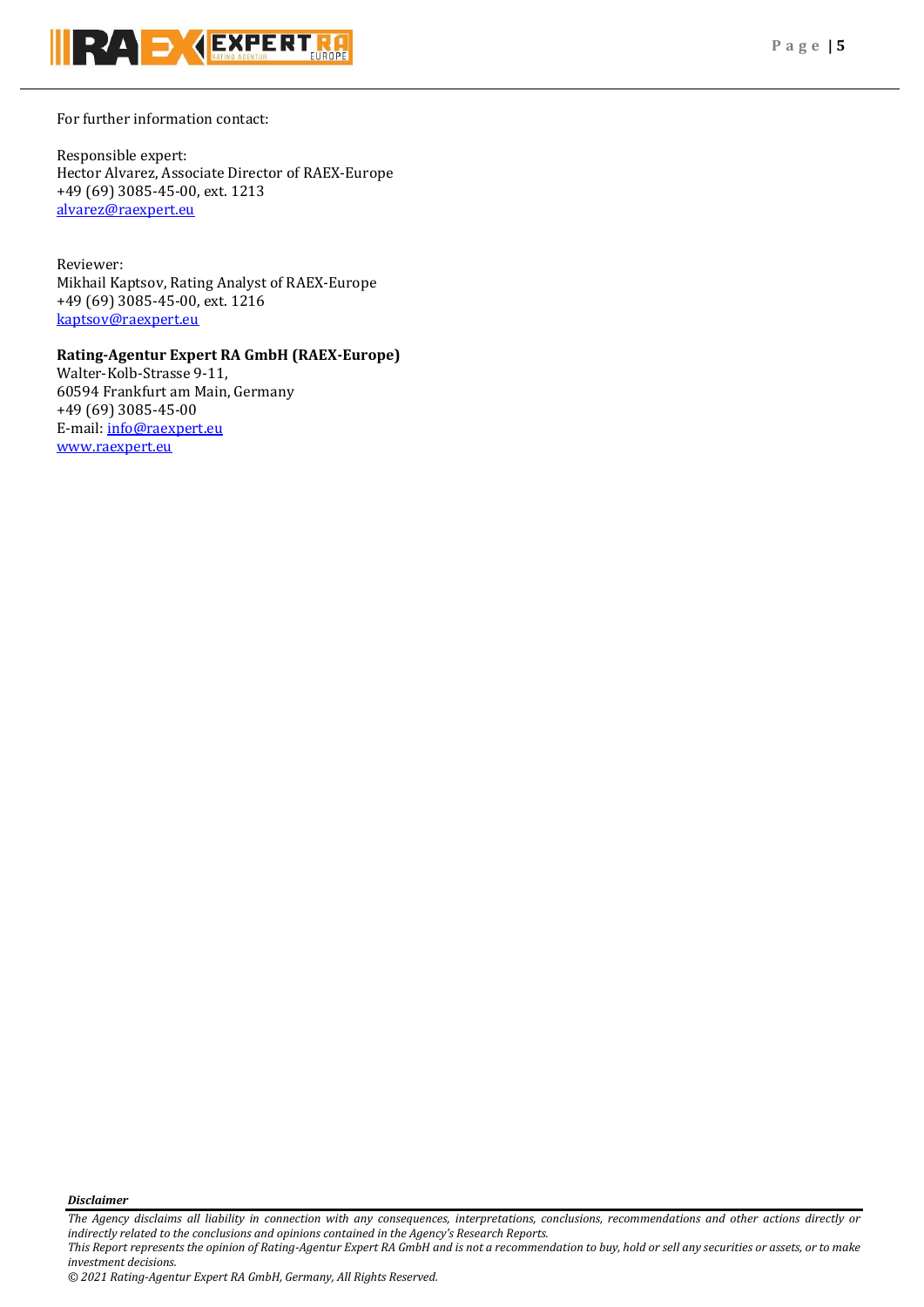

For further information contact:

Responsible expert: Hector Alvarez, Associate Director of RAEX-Europe +49 (69) 3085-45-00, ext. 1213 [alvarez@raexpert.eu](mailto:alvarez@raexpert.eu)

Reviewer: Mikhail Kaptsov, Rating Analyst of RAEX-Europe +49 (69) 3085-45-00, ext. 1216 [kaptsov@raexpert.eu](mailto:kaptsov@raexpert.eu)

## **Rating-Agentur Expert RA GmbH (RAEX-Europe)**

Walter-Kolb-Strasse 9-11, 60594 Frankfurt am Main, Germany +49 (69) 3085-45-00 E-mail[: info@raexpert.eu](mailto:info@raexpert.eu) [www.raexpert.eu](http://raexpert.eu/)

*Disclaimer* 

*The Agency disclaims all liability in connection with any consequences, interpretations, conclusions, recommendations and other actions directly or indirectly related to the conclusions and opinions contained in the Agency's Research Reports.*

*This Report represents the opinion of Rating-Agentur Expert RA GmbH and is not a recommendation to buy, hold or sell any securities or assets, or to make investment decisions.*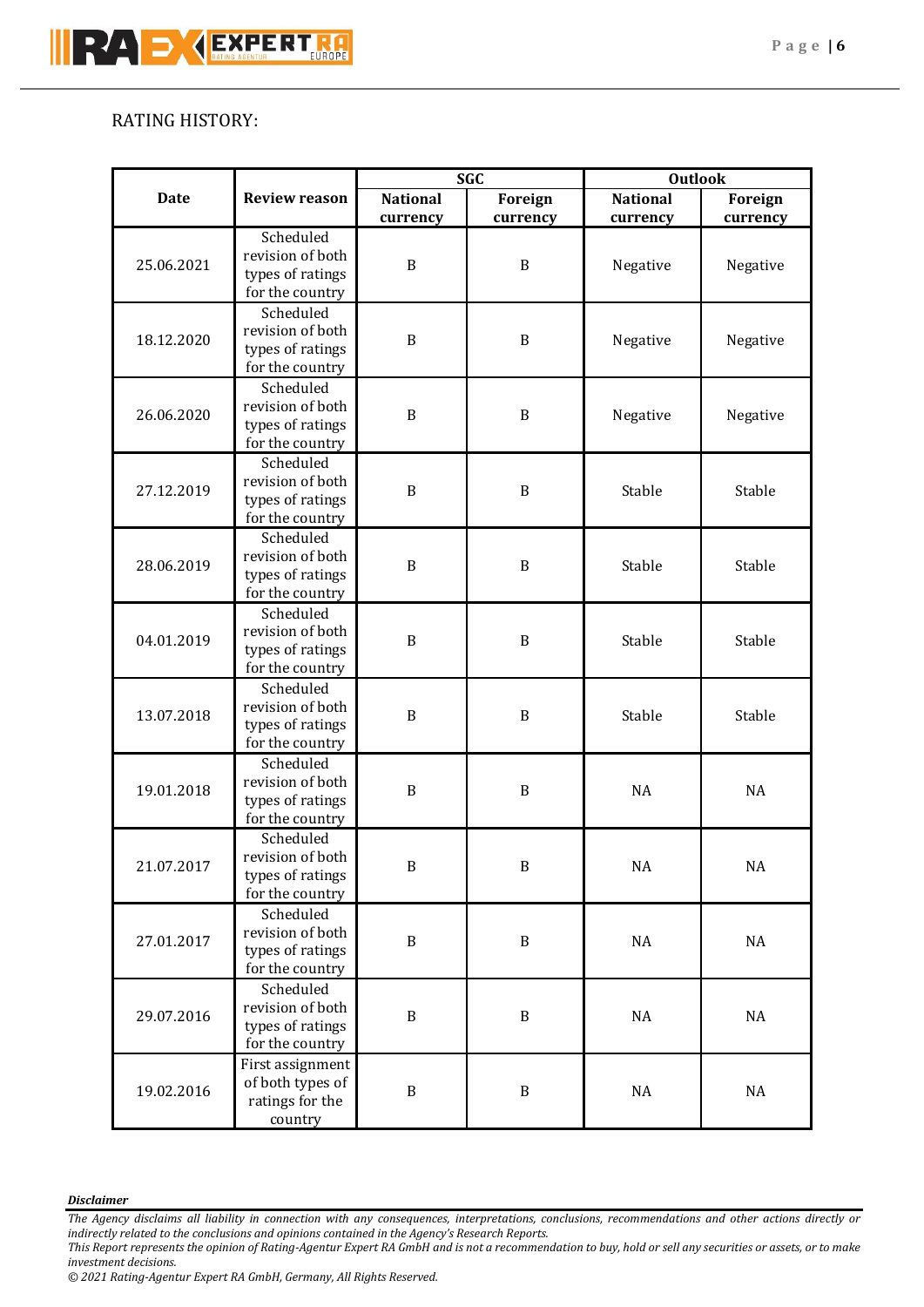# RATING HISTORY:

| <b>Date</b> |                                     | <b>SGC</b>      |              | <b>Outlook</b>  |           |           |  |  |  |  |  |  |  |  |  |  |              |          |    |
|-------------|-------------------------------------|-----------------|--------------|-----------------|-----------|-----------|--|--|--|--|--|--|--|--|--|--|--------------|----------|----|
|             | <b>Review reason</b>                | <b>National</b> | Foreign      | <b>National</b> | Foreign   |           |  |  |  |  |  |  |  |  |  |  |              |          |    |
|             |                                     | currency        | currency     | currency        | currency  |           |  |  |  |  |  |  |  |  |  |  |              |          |    |
|             | Scheduled                           | B               |              |                 |           |           |  |  |  |  |  |  |  |  |  |  |              |          |    |
| 25.06.2021  | revision of both                    |                 |              | B               | Negative  | Negative  |  |  |  |  |  |  |  |  |  |  |              |          |    |
|             | types of ratings                    |                 |              |                 |           |           |  |  |  |  |  |  |  |  |  |  |              |          |    |
|             | for the country                     |                 |              |                 |           |           |  |  |  |  |  |  |  |  |  |  |              |          |    |
| 18.12.2020  | Scheduled                           |                 |              |                 |           |           |  |  |  |  |  |  |  |  |  |  |              |          |    |
|             | revision of both                    | $\, {\bf B}$    | $\, {\bf B}$ | Negative        | Negative  |           |  |  |  |  |  |  |  |  |  |  |              |          |    |
|             | types of ratings                    |                 |              |                 |           |           |  |  |  |  |  |  |  |  |  |  |              |          |    |
|             | for the country                     |                 |              |                 |           |           |  |  |  |  |  |  |  |  |  |  |              |          |    |
|             | Scheduled                           |                 |              |                 |           |           |  |  |  |  |  |  |  |  |  |  |              |          |    |
| 26.06.2020  | revision of both                    | $\, {\bf B}$    | $\, {\bf B}$ | Negative        | Negative  |           |  |  |  |  |  |  |  |  |  |  |              |          |    |
|             | types of ratings                    |                 |              |                 |           |           |  |  |  |  |  |  |  |  |  |  |              |          |    |
|             | for the country                     |                 |              |                 |           |           |  |  |  |  |  |  |  |  |  |  |              |          |    |
|             | Scheduled                           |                 | $\, {\bf B}$ | Stable          | Stable    |           |  |  |  |  |  |  |  |  |  |  |              |          |    |
| 27.12.2019  | revision of both                    | $\, {\bf B}$    |              |                 |           |           |  |  |  |  |  |  |  |  |  |  |              |          |    |
|             | types of ratings                    |                 |              |                 |           |           |  |  |  |  |  |  |  |  |  |  |              |          |    |
|             | for the country                     |                 |              |                 |           |           |  |  |  |  |  |  |  |  |  |  |              |          |    |
|             | Scheduled                           | B               | B            | Stable          | Stable    |           |  |  |  |  |  |  |  |  |  |  |              |          |    |
| 28.06.2019  | revision of both                    |                 |              |                 |           |           |  |  |  |  |  |  |  |  |  |  |              |          |    |
|             | types of ratings                    |                 |              |                 |           |           |  |  |  |  |  |  |  |  |  |  |              |          |    |
|             | for the country                     |                 |              |                 |           |           |  |  |  |  |  |  |  |  |  |  |              |          |    |
|             | Scheduled                           |                 |              |                 |           |           |  |  |  |  |  |  |  |  |  |  |              |          |    |
| 04.01.2019  | revision of both                    | $\mathbf B$     | B            | Stable          | Stable    |           |  |  |  |  |  |  |  |  |  |  |              |          |    |
|             | types of ratings<br>for the country |                 |              |                 |           |           |  |  |  |  |  |  |  |  |  |  |              |          |    |
|             | Scheduled                           |                 |              |                 |           |           |  |  |  |  |  |  |  |  |  |  |              |          |    |
|             | revision of both                    |                 |              |                 |           |           |  |  |  |  |  |  |  |  |  |  |              |          |    |
| 13.07.2018  | types of ratings                    | B               |              | B               | Stable    | Stable    |  |  |  |  |  |  |  |  |  |  |              |          |    |
|             | for the country                     |                 |              |                 |           |           |  |  |  |  |  |  |  |  |  |  |              |          |    |
|             | Scheduled                           | B               |              |                 |           |           |  |  |  |  |  |  |  |  |  |  |              |          |    |
|             | revision of both                    |                 |              | B               | <b>NA</b> | <b>NA</b> |  |  |  |  |  |  |  |  |  |  |              |          |    |
| 19.01.2018  | types of ratings                    |                 |              |                 |           |           |  |  |  |  |  |  |  |  |  |  |              |          |    |
|             | for the country                     |                 |              |                 |           |           |  |  |  |  |  |  |  |  |  |  |              |          |    |
|             | Scheduled                           | $\, {\bf B}$    |              |                 |           |           |  |  |  |  |  |  |  |  |  |  |              |          |    |
|             | revision of both                    |                 |              |                 | $\rm NA$  | $\rm NA$  |  |  |  |  |  |  |  |  |  |  |              |          |    |
| 21.07.2017  | types of ratings                    |                 |              | $\, {\bf B}$    |           |           |  |  |  |  |  |  |  |  |  |  |              |          |    |
|             | for the country                     |                 |              |                 |           |           |  |  |  |  |  |  |  |  |  |  |              |          |    |
| 27.01.2017  | Scheduled                           | $\, {\bf B}$    |              |                 |           |           |  |  |  |  |  |  |  |  |  |  |              |          |    |
|             | revision of both                    |                 |              | $\, {\bf B}$    | NA        |           |  |  |  |  |  |  |  |  |  |  |              |          |    |
|             | types of ratings                    |                 |              |                 |           | NA        |  |  |  |  |  |  |  |  |  |  |              |          |    |
|             | for the country                     |                 |              |                 |           |           |  |  |  |  |  |  |  |  |  |  |              |          |    |
| 29.07.2016  | Scheduled<br>revision of both       | $\, {\bf B}$    |              |                 |           |           |  |  |  |  |  |  |  |  |  |  |              |          |    |
|             |                                     |                 | $\, {\bf B}$ | $\rm NA$        | NA        |           |  |  |  |  |  |  |  |  |  |  |              |          |    |
|             | types of ratings                    |                 |              |                 |           |           |  |  |  |  |  |  |  |  |  |  |              |          |    |
|             | for the country                     |                 |              |                 |           |           |  |  |  |  |  |  |  |  |  |  |              |          |    |
| 19.02.2016  | First assignment                    |                 |              |                 |           |           |  |  |  |  |  |  |  |  |  |  |              |          |    |
|             | of both types of                    | $\, {\bf B}$    |              |                 |           |           |  |  |  |  |  |  |  |  |  |  | $\, {\bf B}$ | $\rm NA$ | NA |
|             | ratings for the                     |                 |              |                 |           |           |  |  |  |  |  |  |  |  |  |  |              |          |    |
|             | country                             |                 |              |                 |           |           |  |  |  |  |  |  |  |  |  |  |              |          |    |

## *Disclaimer*

*The Agency disclaims all liability in connection with any consequences, interpretations, conclusions, recommendations and other actions directly or indirectly related to the conclusions and opinions contained in the Agency's Research Reports.*

*This Report represents the opinion of Rating-Agentur Expert RA GmbH and is not a recommendation to buy, hold or sell any securities or assets, or to make investment decisions.*